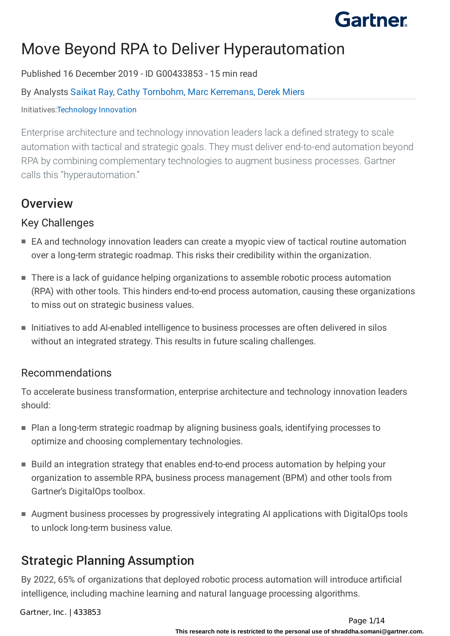# Move Beyond RPA to Deliver Hyperautomation

Published 16 December 2019 - ID G00433853 - 15 min read

#### By Analysts [Saikat](https://external.gcom.pdo.aws.gartner.com/analyst/88996) Ray, Cathy [Tornbohm,](https://external.gcom.pdo.aws.gartner.com/analyst/12142) Marc [Kerremans,](https://external.gcom.pdo.aws.gartner.com/analyst/49006) [Derek](https://external.gcom.pdo.aws.gartner.com/analyst/74496) Miers

#### Initiatives[:Technology](https://external.gcom.pdo.aws.gartner.com/explore/initiatives/overview/10399) Innovation

Enterprise architecture and technology innovation leaders lack a defined strategy to scale automation with tactical and strategic goals. They must deliver end-to-end automation beyond RPA by combining complementary technologies to augment business processes. Gartner calls this "hyperautomation."

## **Overview**

### Key Challenges

- EA and technology innovation leaders can create a myopic view of tactical routine automation over a long-term strategic roadmap. This risks their credibility within the organization.
- There is a lack of guidance helping organizations to assemble robotic process automation (RPA) with other tools. This hinders end-to-end process automation, causing these organizations to miss out on strategic business values.
- Initiatives to add AI-enabled intelligence to business processes are often delivered in silos without an integrated strategy. This results in future scaling challenges.

### Recommendations

To accelerate business transformation, enterprise architecture and technology innovation leaders should:

- Plan a long-term strategic roadmap by aligning business goals, identifying processes to optimize and choosing complementary technologies.
- Build an integration strategy that enables end-to-end process automation by helping your organization to assemble RPA, business process management (BPM) and other tools from Gartner's DigitalOps toolbox.
- Augment business processes by progressively integrating AI applications with DigitalOps tools to unlock long-term business value.

## Strategic Planning Assumption

By 2022, 65% of organizations that deployed robotic process automation will introduce artificial intelligence, including machine learning and natural language processing algorithms.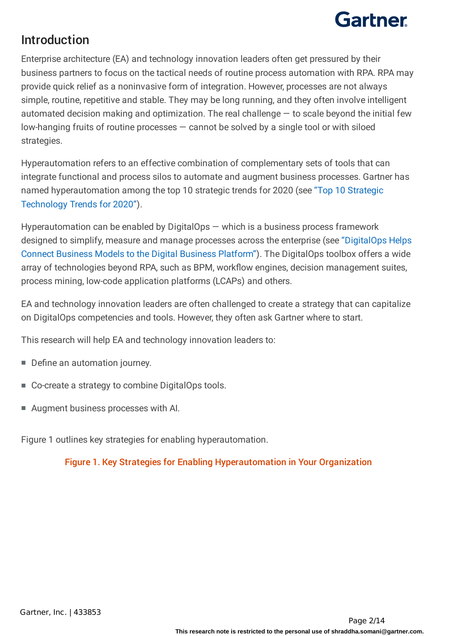## Introduction

Enterprise architecture (EA) and technology innovation leaders often get pressured by their business partners to focus on the tactical needs of routine process automation with RPA. RPA may provide quick relief as a noninvasive form of integration. However, processes are not always simple, routine, repetitive and stable. They may be long running, and they often involve intelligent automated decision making and optimization. The real challenge  $-$  to scale beyond the initial few low-hanging fruits of routine processes — cannot be solved by a single tool or with siloed strategies.

Hyperautomation refers to an effective combination of complementary sets of tools that can integrate functional and process silos to automate and augment business processes. Gartner has named hyperautomation among the top 10 strategic trends for 2020 (see "Top 10 Strategic Technology Trends for 2020").

Hyperautomation can be enabled by DigitalOps — which is a business process framework designed to simplify, measure and manage processes across the enterprise (see "DigitalOps Helps Connect Business Models to the Digital Business Platform"). The DigitalOps toolbox offers a wide array of technologies beyond RPA, such as BPM, workflow engines, decision management suites, process mining, low-code application platforms (LCAPs) and others.

EA and technology innovation leaders are often challenged to create a strategy that can capitalize on DigitalOps competencies and tools. However, they often ask Gartner where to start.

This research will help EA and technology innovation leaders to:

- Define an automation journey.
- Co-create a strategy to combine DigitalOps tools.
- Augment business processes with AI.

Figure 1 outlines key strategies for enabling hyperautomation.

Figure 1. Key Strategies for Enabling Hyperautomation in Your Organization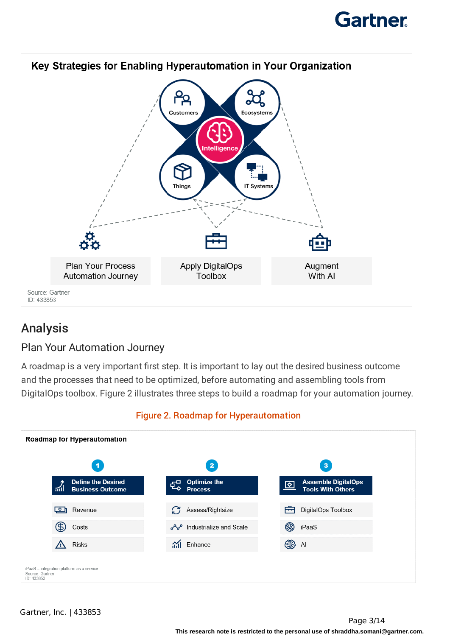



## Analysis

### Plan Your Automation Journey

A roadmap is a very important first step. It is important to lay out the desired business outcome and the processes that need to be optimized, before automating and assembling tools from DigitalOps toolbox. Figure 2 illustrates three steps to build a roadmap for your automation journey.



### Figure 2. Roadmap for Hyperautomation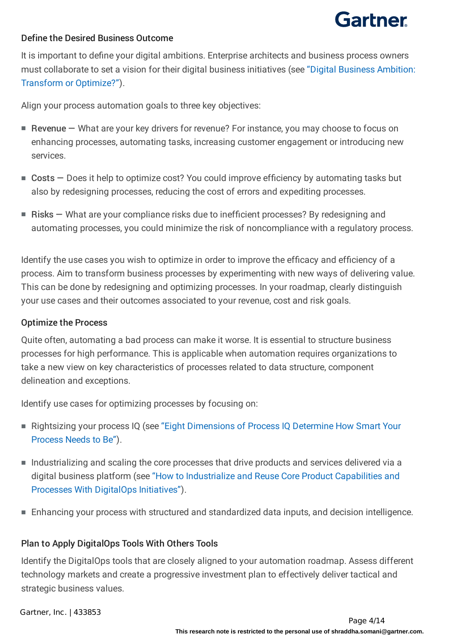#### Define the Desired Business Outcome

It is important to define your digital ambitions. Enterprise architects and business process owners must collaborate to set a vision for their digital business initiatives (see "Digital Business Ambition: Transform or Optimize?").

Align your process automation goals to three key objectives:

- Revenue What are your key drivers for revenue? For instance, you may choose to focus on enhancing processes, automating tasks, increasing customer engagement or introducing new services.
- Costs Does it help to optimize cost? You could improve efficiency by automating tasks but also by redesigning processes, reducing the cost of errors and expediting processes.
- Risks What are your compliance risks due to inefficient processes? By redesigning and automating processes, you could minimize the risk of noncompliance with a regulatory process.

Identify the use cases you wish to optimize in order to improve the efficacy and efficiency of a process. Aim to transform business processes by experimenting with new ways of delivering value. This can be done by redesigning and optimizing processes. In your roadmap, clearly distinguish your use cases and their outcomes associated to your revenue, cost and risk goals.

#### Optimize the Process

Quite often, automating a bad process can make it worse. It is essential to structure business processes for high performance. This is applicable when automation requires organizations to take a new view on key characteristics of processes related to data structure, component delineation and exceptions.

Identify use cases for optimizing processes by focusing on:

- Rightsizing your process IQ (see "Eight Dimensions of Process IQ Determine How Smart Your Process Needs to Be").
- Industrializing and scaling the core processes that drive products and services delivered via a digital business platform (see "How to Industrialize and Reuse Core Product Capabilities and Processes With DigitalOps Initiatives").
- Enhancing your process with structured and standardized data inputs, and decision intelligence.

#### Plan to Apply DigitalOps Tools With Others Tools

Identify the DigitalOps tools that are closely aligned to your automation roadmap. Assess different technology markets and create a progressive investment plan to effectively deliver tactical and strategic business values.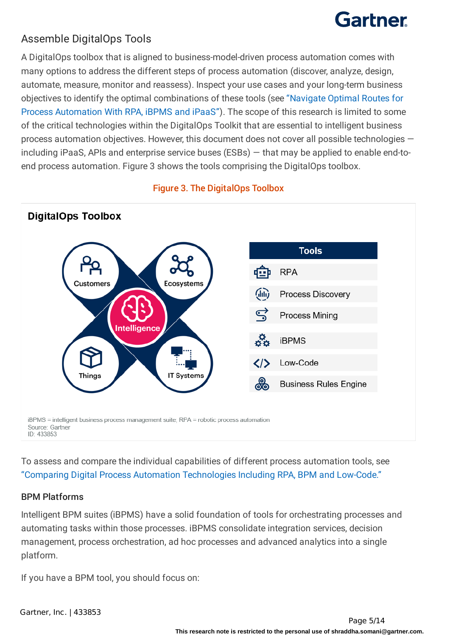### Assemble DigitalOps Tools

A DigitalOps toolbox that is aligned to business-model-driven process automation comes with many options to address the different steps of process automation (discover, analyze, design, automate, measure, monitor and reassess). Inspect your use cases and your long-term business objectives to identify the optimal combinations of these tools (see "Navigate Optimal Routes for Process Automation With RPA, iBPMS and iPaaS"). The scope of this research is limited to some of the critical technologies within the DigitalOps Toolkit that are essential to intelligent business process automation objectives. However, this document does not cover all possible technologies including iPaaS, APIs and enterprise service buses (ESBs) — that may be applied to enable end-toend process automation. Figure 3 shows the tools comprising the DigitalOps toolbox.





To assess and compare the individual capabilities of different process automation tools, see "Comparing Digital Process Automation Technologies Including RPA, BPM and Low-Code."

#### BPM Platforms

Intelligent BPM suites (iBPMS) have a solid foundation of tools for orchestrating processes and automating tasks within those processes. iBPMS consolidate integration services, decision management, process orchestration, ad hoc processes and advanced analytics into a single platform.

If you have a BPM tool, you should focus on: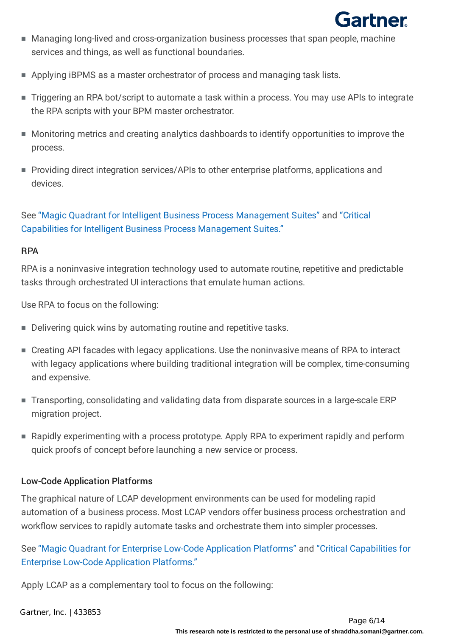

- Managing long-lived and cross-organization business processes that span people, machine services and things, as well as functional boundaries.
- Applying iBPMS as a master orchestrator of process and managing task lists.
- Triggering an RPA bot/script to automate a task within a process. You may use APIs to integrate the RPA scripts with your BPM master orchestrator.
- Monitoring metrics and creating analytics dashboards to identify opportunities to improve the process.
- Providing direct integration services/APIs to other enterprise platforms, applications and devices.

#### See "Magic Quadrant for Intelligent Business Process Management Suites" and "Critical Capabilities for Intelligent Business Process Management Suites."

#### RPA

RPA is a noninvasive integration technology used to automate routine, repetitive and predictable tasks through orchestrated UI interactions that emulate human actions.

Use RPA to focus on the following:

- Delivering quick wins by automating routine and repetitive tasks.
- Creating API facades with legacy applications. Use the noninvasive means of RPA to interact with legacy applications where building traditional integration will be complex, time-consuming and expensive.
- Transporting, consolidating and validating data from disparate sources in a large-scale ERP migration project.
- Rapidly experimenting with a process prototype. Apply RPA to experiment rapidly and perform quick proofs of concept before launching a new service or process.

#### Low-Code Application Platforms

The graphical nature of LCAP development environments can be used for modeling rapid automation of a business process. Most LCAP vendors offer business process orchestration and workflow services to rapidly automate tasks and orchestrate them into simpler processes.

See "Magic Quadrant for Enterprise Low-Code Application Platforms" and "Critical Capabilities for Enterprise Low-Code Application Platforms."

Apply LCAP as a complementary tool to focus on the following: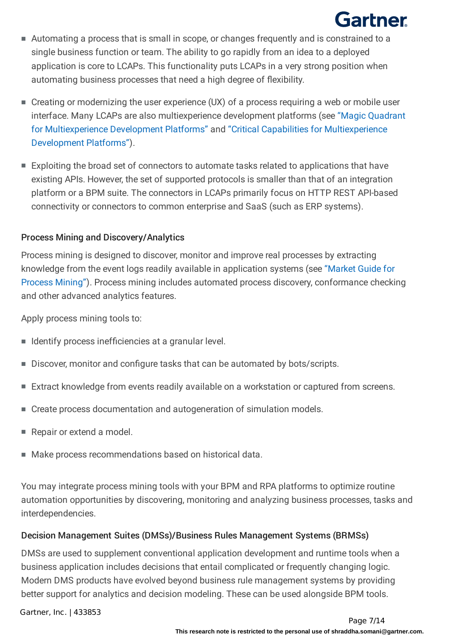- Automating a process that is small in scope, or changes frequently and is constrained to a single business function or team. The ability to go rapidly from an idea to a deployed application is core to LCAPs. This functionality puts LCAPs in a very strong position when automating business processes that need a high degree of flexibility.
- Creating or modernizing the user experience (UX) of a process requiring a web or mobile user interface. Many LCAPs are also multiexperience development platforms (see "Magic Quadrant for Multiexperience Development Platforms" and "Critical Capabilities for Multiexperience Development Platforms").
- Exploiting the broad set of connectors to automate tasks related to applications that have existing APIs. However, the set of supported protocols is smaller than that of an integration platform or a BPM suite. The connectors in LCAPs primarily focus on HTTP REST API-based connectivity or connectors to common enterprise and SaaS (such as ERP systems).

#### Process Mining and Discovery/Analytics

Process mining is designed to discover, monitor and improve real processes by extracting knowledge from the event logs readily available in application systems (see "Market Guide for Process Mining"). Process mining includes automated process discovery, conformance checking and other advanced analytics features.

Apply process mining tools to:

- Identify process inefficiencies at a granular level.
- Discover, monitor and configure tasks that can be automated by bots/scripts.
- Extract knowledge from events readily available on a workstation or captured from screens.
- Create process documentation and autogeneration of simulation models.
- Repair or extend a model.
- Make process recommendations based on historical data.

You may integrate process mining tools with your BPM and RPA platforms to optimize routine automation opportunities by discovering, monitoring and analyzing business processes, tasks and interdependencies.

#### Decision Management Suites (DMSs)/Business Rules Management Systems (BRMSs)

DMSs are used to supplement conventional application development and runtime tools when a business application includes decisions that entail complicated or frequently changing logic. Modern DMS products have evolved beyond business rule management systems by providing better support for analytics and decision modeling. These can be used alongside BPM tools.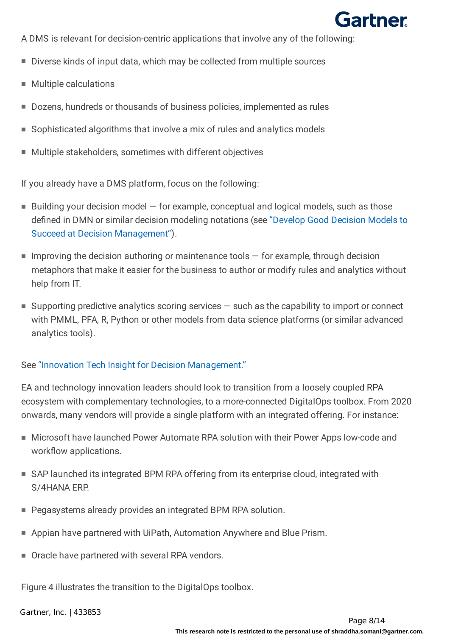

A DMS is relevant for decision-centric applications that involve any of the following:

- Diverse kinds of input data, which may be collected from multiple sources
- **Multiple calculations**
- Dozens, hundreds or thousands of business policies, implemented as rules
- Sophisticated algorithms that involve a mix of rules and analytics models
- Multiple stakeholders, sometimes with different objectives

If you already have a DMS platform, focus on the following:

- Building your decision model for example, conceptual and logical models, such as those defined in DMN or similar decision modeling notations (see "Develop Good Decision Models to Succeed at Decision Management").
- $\blacksquare$  Improving the decision authoring or maintenance tools  $-$  for example, through decision metaphors that make it easier for the business to author or modify rules and analytics without help from IT.
- Supporting predictive analytics scoring services such as the capability to import or connect with PMML, PFA, R, Python or other models from data science platforms (or similar advanced analytics tools).

#### See "Innovation Tech Insight for Decision Management."

EA and technology innovation leaders should look to transition from a loosely coupled RPA ecosystem with complementary technologies, to a more-connected DigitalOps toolbox. From 2020 onwards, many vendors will provide a single platform with an integrated offering. For instance:

- Microsoft have launched Power Automate RPA solution with their Power Apps low-code and workflow applications.
- SAP launched its integrated BPM RPA offering from its enterprise cloud, integrated with S/4HANA ERP.
- Pegasystems already provides an integrated BPM RPA solution.
- Appian have partnered with UiPath, Automation Anywhere and Blue Prism.
- Oracle have partnered with several RPA vendors.

Figure 4 illustrates the transition to the DigitalOps toolbox.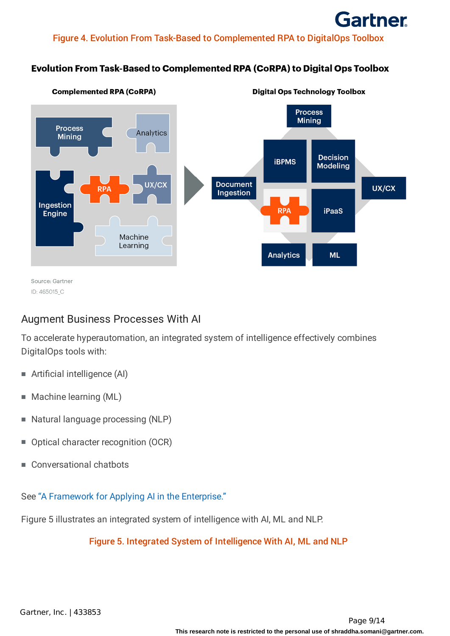#### Figure 4. Evolution From Task-Based to Complemented RPA to DigitalOps Toolbox

#### Evolution From Task-Based to Complemented RPA (CoRPA) to Digital Ops Toolbox



### Augment Business Processes With AI

To accelerate hyperautomation, an integrated system of intelligence effectively combines DigitalOps tools with:

- Artificial intelligence (AI)
- Machine learning (ML)
- Natural language processing (NLP)
- Optical character recognition (OCR)
- Conversational chatbots

See "A Framework for Applying AI in the Enterprise."

Figure 5 illustrates an integrated system of intelligence with AI, ML and NLP.

Figure 5. Integrated System of Intelligence With AI, ML and NLP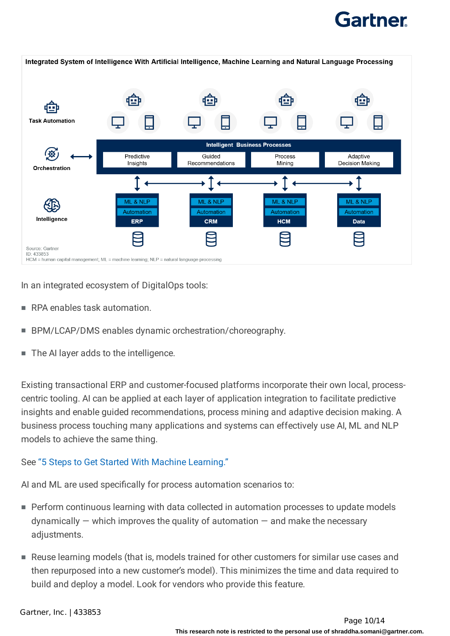

In an integrated ecosystem of DigitalOps tools:

- RPA enables task automation.
- BPM/LCAP/DMS enables dynamic orchestration/choreography.
- The AI layer adds to the intelligence.

Existing transactional ERP and customer-focused platforms incorporate their own local, processcentric tooling. AI can be applied at each layer of application integration to facilitate predictive insights and enable guided recommendations, process mining and adaptive decision making. A business process touching many applications and systems can effectively use AI, ML and NLP models to achieve the same thing.

#### See "5 Steps to Get Started With Machine Learning."

AI and ML are used specifically for process automation scenarios to:

- Perform continuous learning with data collected in automation processes to update models  $d$ ynamically  $-$  which improves the quality of automation  $-$  and make the necessary adiustments.
- Reuse learning models (that is, models trained for other customers for similar use cases and then repurposed into a new customer's model). This minimizes the time and data required to build and deploy a model. Look for vendors who provide this feature.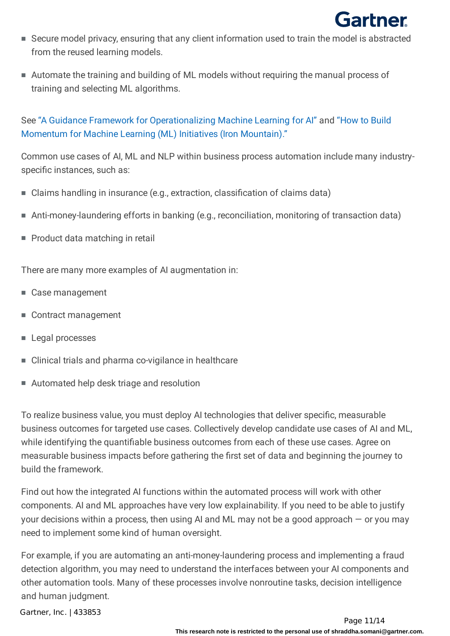

- Secure model privacy, ensuring that any client information used to train the model is abstracted from the reused learning models.
- Automate the training and building of ML models without requiring the manual process of training and selecting ML algorithms.

See "A Guidance Framework for Operationalizing Machine Learning for AI" and "How to Build Momentum for Machine Learning (ML) Initiatives (Iron Mountain)."

Common use cases of AI, ML and NLP within business process automation include many industryspecific instances, such as:

- Claims handling in insurance (e.g., extraction, classification of claims data)
- Anti-money-laundering efforts in banking (e.g., reconciliation, monitoring of transaction data)
- Product data matching in retail

There are many more examples of AI augmentation in:

- Case management
- Contract management
- Legal processes
- Clinical trials and pharma co-vigilance in healthcare
- Automated help desk triage and resolution

To realize business value, you must deploy AI technologies that deliver specific, measurable business outcomes for targeted use cases. Collectively develop candidate use cases of AI and ML, while identifying the quantifiable business outcomes from each of these use cases. Agree on measurable business impacts before gathering the first set of data and beginning the journey to build the framework.

Find out how the integrated AI functions within the automated process will work with other components. AI and ML approaches have very low explainability. If you need to be able to justify your decisions within a process, then using AI and ML may not be a good approach  $-$  or you may need to implement some kind of human oversight.

For example, if you are automating an anti-money-laundering process and implementing a fraud detection algorithm, you may need to understand the interfaces between your AI components and other automation tools. Many of these processes involve nonroutine tasks, decision intelligence and human judgment.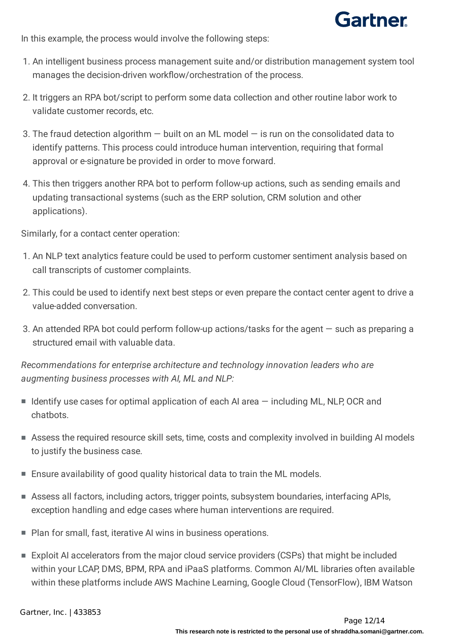

In this example, the process would involve the following steps:

- 1. An intelligent business process management suite and/or distribution management system tool manages the decision-driven workflow/orchestration of the process.
- 2. It triggers an RPA bot/script to perform some data collection and other routine labor work to validate customer records, etc.
- 3. The fraud detection algorithm  $-$  built on an ML model  $-$  is run on the consolidated data to identify patterns. This process could introduce human intervention, requiring that formal approval or e-signature be provided in order to move forward.
- 4. This then triggers another RPA bot to perform follow-up actions, such as sending emails and updating transactional systems (such as the ERP solution, CRM solution and other applications).

Similarly, for a contact center operation:

- 1. An NLP text analytics feature could be used to perform customer sentiment analysis based on call transcripts of customer complaints.
- 2. This could be used to identify next best steps or even prepare the contact center agent to drive a value-added conversation.
- 3. An attended RPA bot could perform follow-up actions/tasks for the agent such as preparing a structured email with valuable data.

*Recommendations for enterprise architecture and technology innovation leaders who are augmenting business processes with AI, ML and NLP:*

- Identify use cases for optimal application of each AI area including ML, NLP, OCR and chatbots.
- Assess the required resource skill sets, time, costs and complexity involved in building AI models to justify the business case.
- Ensure availability of good quality historical data to train the ML models.
- Assess all factors, including actors, trigger points, subsystem boundaries, interfacing APIs, exception handling and edge cases where human interventions are required.
- Plan for small, fast, iterative AI wins in business operations.
- Exploit AI accelerators from the major cloud service providers (CSPs) that might be included within your LCAP, DMS, BPM, RPA and iPaaS platforms. Common AI/ML libraries often available within these platforms include AWS Machine Learning, Google Cloud (TensorFlow), IBM Watson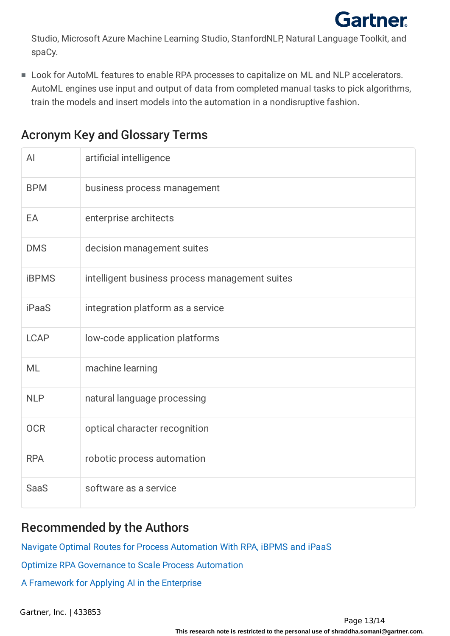

Studio, Microsoft Azure Machine Learning Studio, StanfordNLP, Natural Language Toolkit, and spaCy.

Look for AutoML features to enable RPA processes to capitalize on ML and NLP accelerators. ■ AutoML engines use input and output of data from completed manual tasks to pick algorithms, train the models and insert models into the automation in a nondisruptive fashion.

| AI           | artificial intelligence                        |
|--------------|------------------------------------------------|
| <b>BPM</b>   | business process management                    |
| EA           | enterprise architects                          |
| <b>DMS</b>   | decision management suites                     |
| <b>iBPMS</b> | intelligent business process management suites |
| <b>iPaaS</b> | integration platform as a service              |
| <b>LCAP</b>  | low-code application platforms                 |
| <b>ML</b>    | machine learning                               |
| <b>NLP</b>   | natural language processing                    |
| <b>OCR</b>   | optical character recognition                  |
| <b>RPA</b>   | robotic process automation                     |
| <b>SaaS</b>  | software as a service                          |

## Acronym Key and Glossary Terms

## Recommended by the Authors

Navigate Optimal Routes for Process [Automation](https://external.gcom.pdo.aws.gartner.com/document/3904866?ref=authbottomrec&refval=3978174) With RPA, iBPMS and iPaaS

Optimize RPA [Governance](https://external.gcom.pdo.aws.gartner.com/document/3970915?ref=authbottomrec&refval=3978174) to Scale Process Automation

A [Framework](https://external.gcom.pdo.aws.gartner.com/document/3899474?ref=authbottomrec&refval=3978174) for Applying AI in the Enterprise